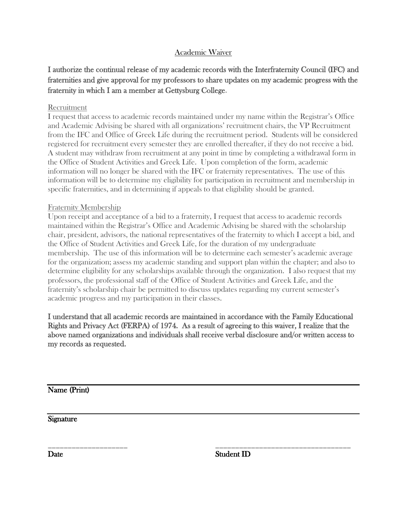## Academic Waiver

# I authorize the continual release of my academic records with the Interfraternity Council (IFC) and fraternities and give approval for my professors to share updates on my academic progress with the fraternity in which I am a member at Gettysburg College.

## Recruitment

I request that access to academic records maintained under my name within the Registrar's Office and Academic Advising be shared with all organizations' recruitment chairs, the VP Recruitment from the IFC and Office of Greek Life during the recruitment period. Students will be considered registered for recruitment every semester they are enrolled thereafter, if they do not receive a bid. A student may withdraw from recruitment at any point in time by completing a withdrawal form in the Office of Student Activities and Greek Life. Upon completion of the form, academic information will no longer be shared with the IFC or fraternity representatives. The use of this information will be to determine my eligibility for participation in recruitment and membership in specific fraternities, and in determining if appeals to that eligibility should be granted.

## Fraternity Membership

Upon receipt and acceptance of a bid to a fraternity, I request that access to academic records maintained within the Registrar's Office and Academic Advising be shared with the scholarship chair, president, advisors, the national representatives of the fraternity to which I accept a bid, and the Office of Student Activities and Greek Life, for the duration of my undergraduate membership. The use of this information will be to determine each semester's academic average for the organization; assess my academic standing and support plan within the chapter; and also to determine eligibility for any scholarships available through the organization. I also request that my professors, the professional staff of the Office of Student Activities and Greek Life, and the fraternity's scholarship chair be permitted to discuss updates regarding my current semester's academic progress and my participation in their classes.

I understand that all academic records are maintained in accordance with the Family Educational Rights and Privacy Act (FERPA) of 1974. As a result of agreeing to this waiver, I realize that the above named organizations and individuals shall receive verbal disclosure and/or written access to my records as requested.

Name (Print)

Signature

\_\_\_\_\_\_\_\_\_\_\_\_\_\_\_\_\_\_\_\_ \_\_\_\_\_\_\_\_\_\_\_\_\_\_\_\_\_\_\_\_\_\_\_\_\_\_\_\_\_\_\_\_\_\_ Date Student ID